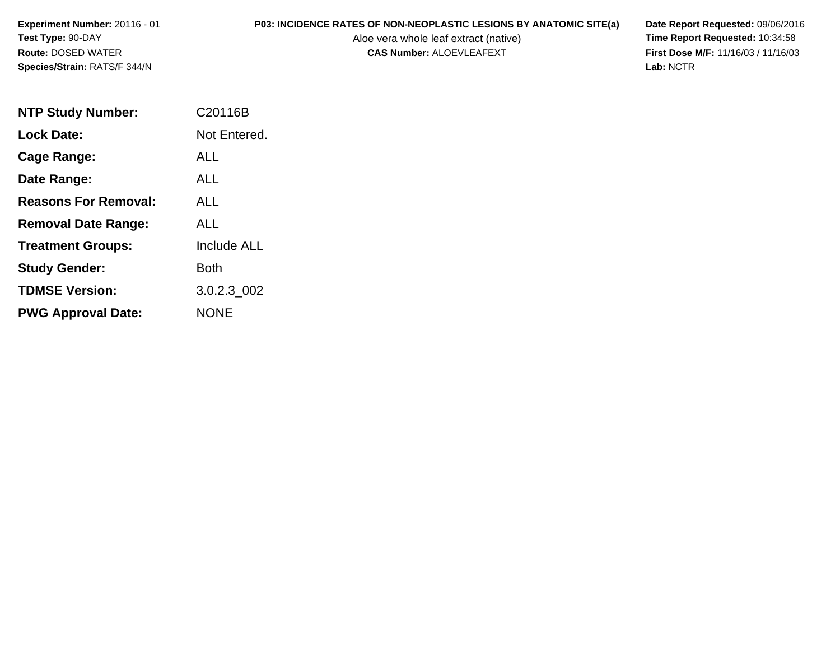**Experiment Number:** 20116 - 01**Test Type:** 90-DAY**Route:** DOSED WATER**Species/Strain:** RATS/F 344/N

# **P03: INCIDENCE RATES OF NON-NEOPLASTIC LESIONS BY ANATOMIC SITE(a) Date Report Requested: 09/06/2016<br>Aloe vera whole leaf extract (native) Time Report Requested: 10:34:58**

Aloe vera whole leaf extract (native)<br>**CAS Number:** ALOEVLEAFEXT

**First Dose M/F:** 11/16/03 / 11/16/03<br>Lab: NCTR **Lab:** NCTR

| <b>NTP Study Number:</b>    | C20116B            |
|-----------------------------|--------------------|
| <b>Lock Date:</b>           | Not Entered.       |
| Cage Range:                 | <b>ALL</b>         |
| Date Range:                 | ALL                |
| <b>Reasons For Removal:</b> | AI I               |
| <b>Removal Date Range:</b>  | ALL                |
| <b>Treatment Groups:</b>    | <b>Include ALL</b> |
| <b>Study Gender:</b>        | Both               |
| <b>TDMSE Version:</b>       | 3.0.2.3 002        |
| <b>PWG Approval Date:</b>   | NONE               |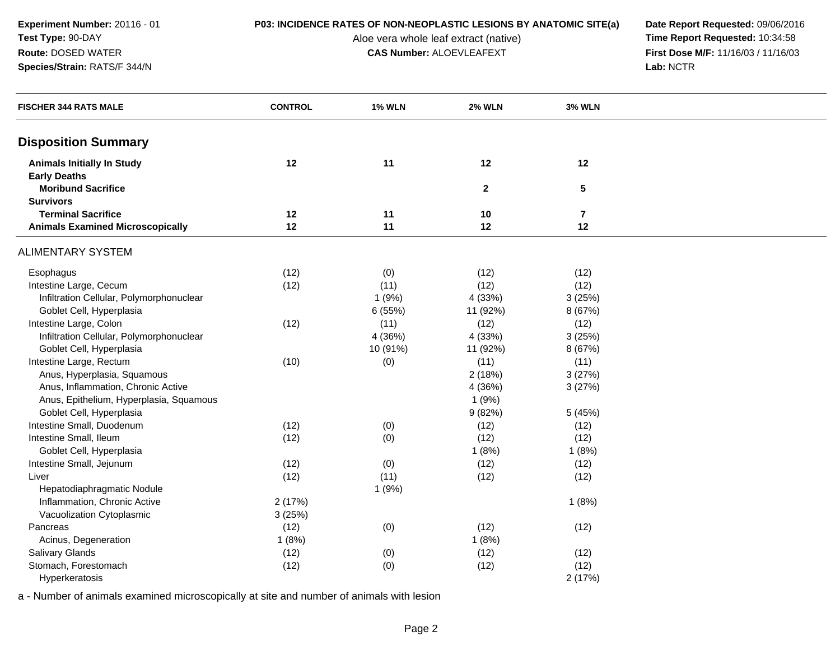**Experiment Number:** 20116 - 01**Test Type:** 90-DAY**Route:** DOSED WATER

**Species/Strain:** RATS/F 344/N

Aloe vera whole leaf extract (native)<br>**CAS Number:** ALOEVLEAFEXT

**P03: INCIDENCE RATES OF NON-NEOPLASTIC LESIONS BY ANATOMIC SITE(a) Date Report Requested: 09/06/2016<br>Aloe vera whole leaf extract (native) <b>Time Report Requested:** 10:34:58 **First Dose M/F:** 11/16/03 / 11/16/03<br>Lab: NCTR **Lab:** NCTR

| <b>FISCHER 344 RATS MALE</b>             | <b>CONTROL</b> | <b>1% WLN</b> | <b>2% WLN</b> | <b>3% WLN</b>  |  |
|------------------------------------------|----------------|---------------|---------------|----------------|--|
|                                          |                |               |               |                |  |
| <b>Disposition Summary</b>               |                |               |               |                |  |
| <b>Animals Initially In Study</b>        | 12             | 11            | 12            | 12             |  |
| <b>Early Deaths</b>                      |                |               |               |                |  |
| <b>Moribund Sacrifice</b>                |                |               | $\mathbf{2}$  | $\sqrt{5}$     |  |
| <b>Survivors</b>                         |                |               |               |                |  |
| <b>Terminal Sacrifice</b>                | 12             | 11            | 10            | $\overline{7}$ |  |
| <b>Animals Examined Microscopically</b>  | 12             | 11            | 12            | 12             |  |
| <b>ALIMENTARY SYSTEM</b>                 |                |               |               |                |  |
| Esophagus                                | (12)           | (0)           | (12)          | (12)           |  |
| Intestine Large, Cecum                   | (12)           | (11)          | (12)          | (12)           |  |
| Infiltration Cellular, Polymorphonuclear |                | 1(9%)         | 4 (33%)       | 3(25%)         |  |
| Goblet Cell, Hyperplasia                 |                | 6(55%)        | 11 (92%)      | 8 (67%)        |  |
| Intestine Large, Colon                   | (12)           | (11)          | (12)          | (12)           |  |
| Infiltration Cellular, Polymorphonuclear |                | 4 (36%)       | 4 (33%)       | 3(25%)         |  |
| Goblet Cell, Hyperplasia                 |                | 10 (91%)      | 11 (92%)      | 8 (67%)        |  |
| Intestine Large, Rectum                  | (10)           | (0)           | (11)          | (11)           |  |
| Anus, Hyperplasia, Squamous              |                |               | 2(18%)        | 3(27%)         |  |
| Anus, Inflammation, Chronic Active       |                |               | 4 (36%)       | 3(27%)         |  |
| Anus, Epithelium, Hyperplasia, Squamous  |                |               | 1(9%)         |                |  |
| Goblet Cell, Hyperplasia                 |                |               | 9(82%)        | 5 (45%)        |  |
| Intestine Small, Duodenum                | (12)           | (0)           | (12)          | (12)           |  |
| Intestine Small, Ileum                   | (12)           | (0)           | (12)          | (12)           |  |
| Goblet Cell, Hyperplasia                 |                |               | 1(8%)         | 1(8%)          |  |
| Intestine Small, Jejunum                 | (12)           | (0)           | (12)          | (12)           |  |
| Liver                                    | (12)           | (11)          | (12)          | (12)           |  |
| Hepatodiaphragmatic Nodule               |                | 1(9%)         |               |                |  |
| Inflammation, Chronic Active             | 2(17%)         |               |               | 1(8%)          |  |
| Vacuolization Cytoplasmic                | 3(25%)         |               |               |                |  |
| Pancreas                                 | (12)           | (0)           | (12)          | (12)           |  |
| Acinus, Degeneration                     | 1(8%)          |               | 1(8%)         |                |  |
| Salivary Glands                          | (12)           | (0)           | (12)          | (12)           |  |
| Stomach, Forestomach                     | (12)           | (0)           | (12)          | (12)           |  |
| Hyperkeratosis                           |                |               |               | 2(17%)         |  |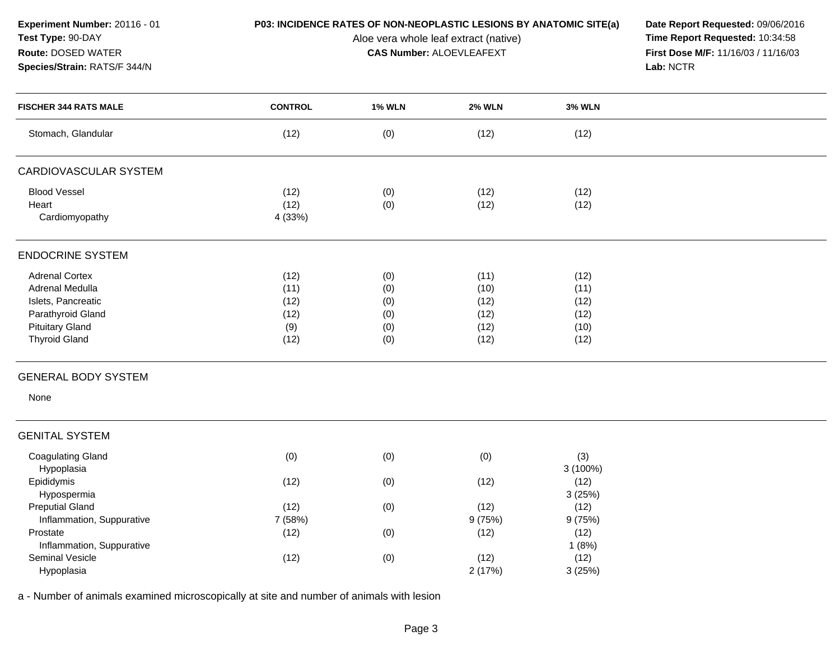**Experiment Number:** 20116 - 01**Test Type:** 90-DAY**Route:** DOSED WATER

**Species/Strain:** RATS/F 344/N

## **P03: INCIDENCE RATES OF NON-NEOPLASTIC LESIONS BY ANATOMIC SITE(a) Date Report Requested: 09/06/2016<br>Aloe vera whole leaf extract (native) <b>Time Report Requested:** 10:34:58

Aloe vera whole leaf extract (native)<br>**CAS Number:** ALOEVLEAFEXT

**First Dose M/F:** 11/16/03 / 11/16/03<br>Lab: NCTR **Lab:** NCTR

| <b>FISCHER 344 RATS MALE</b>                                                                                                          | <b>CONTROL</b>                              | <b>1% WLN</b>                          | <b>2% WLN</b>                                | <b>3% WLN</b>                                |  |
|---------------------------------------------------------------------------------------------------------------------------------------|---------------------------------------------|----------------------------------------|----------------------------------------------|----------------------------------------------|--|
| Stomach, Glandular                                                                                                                    | (12)                                        | (0)                                    | (12)                                         | (12)                                         |  |
| CARDIOVASCULAR SYSTEM                                                                                                                 |                                             |                                        |                                              |                                              |  |
| <b>Blood Vessel</b><br>Heart<br>Cardiomyopathy                                                                                        | (12)<br>(12)<br>4 (33%)                     | (0)<br>(0)                             | (12)<br>(12)                                 | (12)<br>(12)                                 |  |
| <b>ENDOCRINE SYSTEM</b>                                                                                                               |                                             |                                        |                                              |                                              |  |
| <b>Adrenal Cortex</b><br>Adrenal Medulla<br>Islets, Pancreatic<br>Parathyroid Gland<br><b>Pituitary Gland</b><br><b>Thyroid Gland</b> | (12)<br>(11)<br>(12)<br>(12)<br>(9)<br>(12) | (0)<br>(0)<br>(0)<br>(0)<br>(0)<br>(0) | (11)<br>(10)<br>(12)<br>(12)<br>(12)<br>(12) | (12)<br>(11)<br>(12)<br>(12)<br>(10)<br>(12) |  |
| <b>GENERAL BODY SYSTEM</b>                                                                                                            |                                             |                                        |                                              |                                              |  |
| None                                                                                                                                  |                                             |                                        |                                              |                                              |  |
| <b>GENITAL SYSTEM</b>                                                                                                                 |                                             |                                        |                                              |                                              |  |
| <b>Coagulating Gland</b><br>Hypoplasia                                                                                                | (0)                                         | (0)                                    | (0)                                          | (3)<br>3 (100%)                              |  |
| Epididymis<br>Hypospermia                                                                                                             | (12)                                        | (0)                                    | (12)                                         | (12)<br>3(25%)                               |  |
| <b>Preputial Gland</b><br>Inflammation, Suppurative                                                                                   | (12)<br>7 (58%)                             | (0)                                    | (12)<br>9(75%)                               | (12)<br>9(75%)                               |  |
| Prostate<br>Inflammation, Suppurative                                                                                                 | (12)                                        | (0)                                    | (12)                                         | (12)<br>1(8%)                                |  |
| Seminal Vesicle<br>Hypoplasia                                                                                                         | (12)                                        | (0)                                    | (12)<br>2(17%)                               | (12)<br>3(25%)                               |  |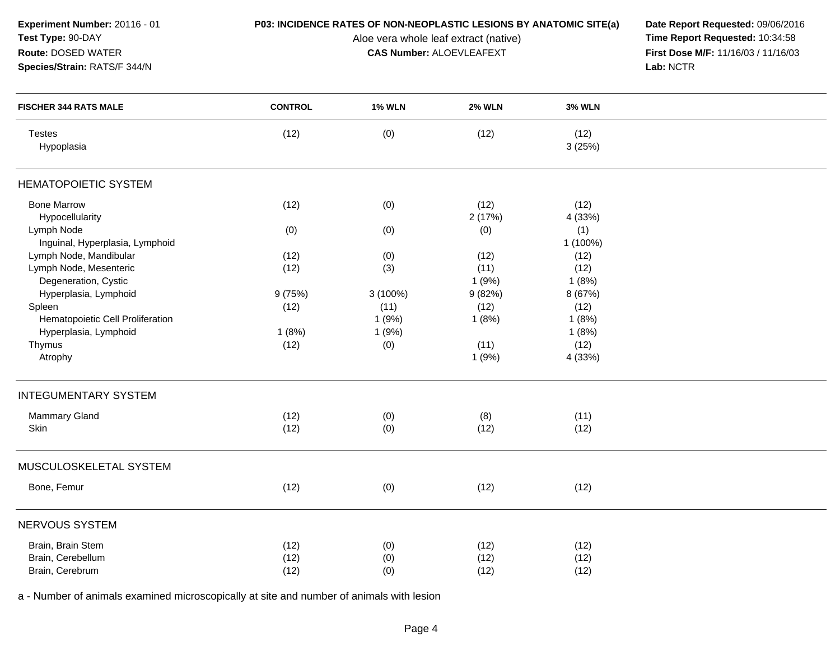| Experiment Number: 20116 - 01<br>Test Type: 90-DAY<br>Route: DOSED WATER<br>Species/Strain: RATS/F 344/N | P03: INCIDENCE RATES OF NON-NEOPLASTIC LESIONS BY ANATOMIC SITE(a) | Date Report Requested: 09/06/2016<br>Time Report Requested: 10:34:58<br>First Dose M/F: 11/16/03 / 11/16/03<br>Lab: NCTR |                       |                       |  |
|----------------------------------------------------------------------------------------------------------|--------------------------------------------------------------------|--------------------------------------------------------------------------------------------------------------------------|-----------------------|-----------------------|--|
| <b>FISCHER 344 RATS MALE</b>                                                                             | <b>CONTROL</b>                                                     | <b>1% WLN</b>                                                                                                            | <b>2% WLN</b>         | <b>3% WLN</b>         |  |
| <b>Testes</b><br>Hypoplasia                                                                              | (12)                                                               | (0)                                                                                                                      | (12)                  | (12)<br>3(25%)        |  |
| <b>HEMATOPOIETIC SYSTEM</b>                                                                              |                                                                    |                                                                                                                          |                       |                       |  |
| <b>Bone Marrow</b><br>Hypocellularity                                                                    | (12)                                                               | (0)                                                                                                                      | (12)<br>2(17%)        | (12)<br>4 (33%)       |  |
| Lymph Node<br>Inguinal, Hyperplasia, Lymphoid                                                            | (0)                                                                | (0)                                                                                                                      | (0)                   | (1)<br>1 (100%)       |  |
| Lymph Node, Mandibular<br>Lymph Node, Mesenteric<br>Degeneration, Cystic                                 | (12)<br>(12)                                                       | (0)<br>(3)                                                                                                               | (12)<br>(11)<br>1(9%) | (12)<br>(12)<br>1(8%) |  |
| Hyperplasia, Lymphoid<br>Spleen                                                                          | 9(75%)<br>(12)                                                     | $3(100\%)$<br>(11)                                                                                                       | 9(82%)<br>(12)        | 8 (67%)<br>(12)       |  |
| Hematopoietic Cell Proliferation<br>Hyperplasia, Lymphoid                                                | 1(8%)                                                              | 1(9%)<br>1(9%)                                                                                                           | 1(8%)                 | 1(8%)<br>1(8%)        |  |
| Thymus<br>Atrophy                                                                                        | (12)                                                               | (0)                                                                                                                      | (11)<br>1(9%)         | (12)<br>4 (33%)       |  |
| <b>INTEGUMENTARY SYSTEM</b>                                                                              |                                                                    |                                                                                                                          |                       |                       |  |
| Mammary Gland<br>Skin                                                                                    | (12)<br>(12)                                                       | (0)<br>(0)                                                                                                               | (8)<br>(12)           | (11)<br>(12)          |  |
| MUSCULOSKELETAL SYSTEM                                                                                   |                                                                    |                                                                                                                          |                       |                       |  |
| Bone, Femur                                                                                              | (12)                                                               | (0)                                                                                                                      | (12)                  | (12)                  |  |
| NERVOUS SYSTEM                                                                                           |                                                                    |                                                                                                                          |                       |                       |  |
| Brain, Brain Stem<br>Brain, Cerebellum<br>Brain, Cerebrum                                                | (12)<br>(12)<br>(12)                                               | (0)<br>(0)<br>(0)                                                                                                        | (12)<br>(12)<br>(12)  | (12)<br>(12)<br>(12)  |  |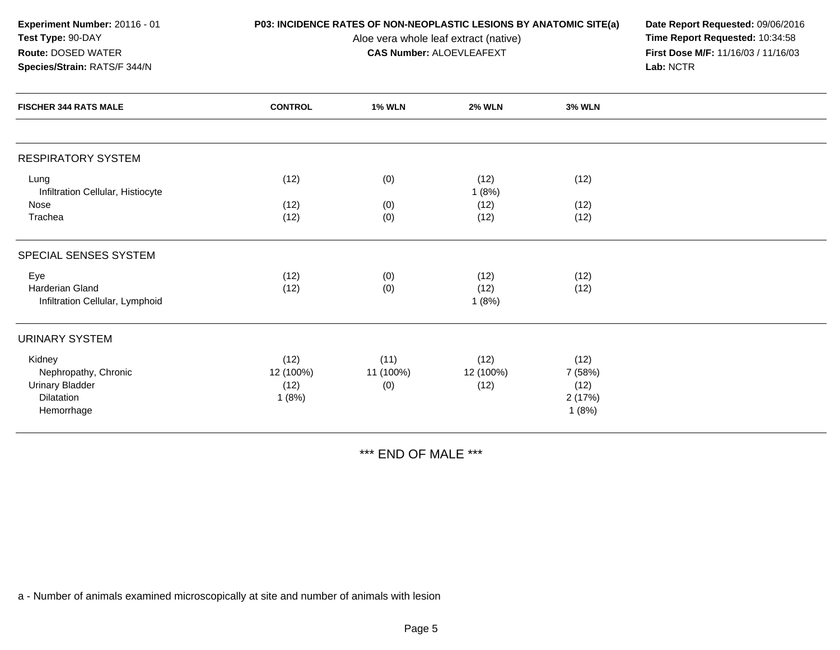| Experiment Number: 20116 - 01 |
|-------------------------------|
| <b>Test Type: 90-DAY</b>      |
| <b>Route: DOSED WATER</b>     |

## **Species/Strain:** RATS/F 344/N

Aloe vera whole leaf extract (native)<br>**CAS Number: ALOEVLEAFEXT** 

**P03: INCIDENCE RATES OF NON-NEOPLASTIC LESIONS BY ANATOMIC SITE(a) Date Report Requested: 09/06/2016<br>Aloe vera whole leaf extract (native) <b>Time Report Requested:** 10:34:58 **First Dose M/F:** 11/16/03 / 11/16/03<br>Lab: NCTR **Lab:** NCTR

| <b>FISCHER 344 RATS MALE</b>                                                         | <b>CONTROL</b>                     | <b>1% WLN</b>            | <b>2% WLN</b>             | <b>3% WLN</b>                              |  |
|--------------------------------------------------------------------------------------|------------------------------------|--------------------------|---------------------------|--------------------------------------------|--|
|                                                                                      |                                    |                          |                           |                                            |  |
| <b>RESPIRATORY SYSTEM</b>                                                            |                                    |                          |                           |                                            |  |
| Lung<br>Infiltration Cellular, Histiocyte                                            | (12)                               | (0)                      | (12)<br>1(8%)             | (12)                                       |  |
| Nose<br>Trachea                                                                      | (12)<br>(12)                       | (0)<br>(0)               | (12)<br>(12)              | (12)<br>(12)                               |  |
| SPECIAL SENSES SYSTEM                                                                |                                    |                          |                           |                                            |  |
| Eye<br>Harderian Gland<br>Infiltration Cellular, Lymphoid                            | (12)<br>(12)                       | (0)<br>(0)               | (12)<br>(12)<br>1(8%)     | (12)<br>(12)                               |  |
| URINARY SYSTEM                                                                       |                                    |                          |                           |                                            |  |
| Kidney<br>Nephropathy, Chronic<br><b>Urinary Bladder</b><br>Dilatation<br>Hemorrhage | (12)<br>12 (100%)<br>(12)<br>1(8%) | (11)<br>11 (100%)<br>(0) | (12)<br>12 (100%)<br>(12) | (12)<br>7 (58%)<br>(12)<br>2(17%)<br>1(8%) |  |

\*\*\* END OF MALE \*\*\*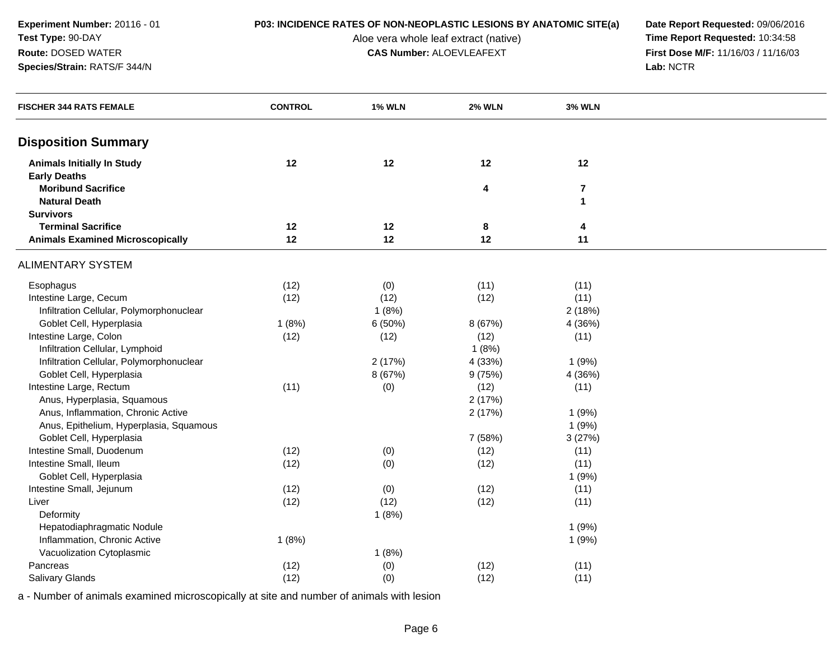**Experiment Number:** 20116 - 01**Test Type:** 90-DAY**Route:** DOSED WATER

## **Species/Strain:** RATS/F 344/N

## **P03: INCIDENCE RATES OF NON-NEOPLASTIC LESIONS BY ANATOMIC SITE(a) Date Report Requested: 09/06/2016<br>Aloe vera whole leaf extract (native) <b>Time Report Requested:** 10:34:58

Aloe vera whole leaf extract (native)<br>**CAS Number:** ALOEVLEAFEXT

**First Dose M/F:** 11/16/03 / 11/16/03<br>Lab: NCTR **Lab:** NCTR

| <b>FISCHER 344 RATS FEMALE</b>           | <b>CONTROL</b> | <b>1% WLN</b> | <b>2% WLN</b>           | <b>3% WLN</b>  |  |
|------------------------------------------|----------------|---------------|-------------------------|----------------|--|
| <b>Disposition Summary</b>               |                |               |                         |                |  |
| <b>Animals Initially In Study</b>        | 12             | 12            | 12                      | 12             |  |
| <b>Early Deaths</b>                      |                |               |                         |                |  |
| <b>Moribund Sacrifice</b>                |                |               | $\overline{\mathbf{4}}$ | $\overline{7}$ |  |
| <b>Natural Death</b>                     |                |               |                         | $\mathbf{1}$   |  |
| <b>Survivors</b>                         |                |               |                         |                |  |
| <b>Terminal Sacrifice</b>                | 12             | 12            | 8                       | 4              |  |
| <b>Animals Examined Microscopically</b>  | 12             | 12            | 12                      | 11             |  |
| <b>ALIMENTARY SYSTEM</b>                 |                |               |                         |                |  |
| Esophagus                                | (12)           | (0)           | (11)                    | (11)           |  |
| Intestine Large, Cecum                   | (12)           | (12)          | (12)                    | (11)           |  |
| Infiltration Cellular, Polymorphonuclear |                | 1(8%)         |                         | 2(18%)         |  |
| Goblet Cell, Hyperplasia                 | 1(8%)          | 6(50%)        | 8 (67%)                 | 4 (36%)        |  |
| Intestine Large, Colon                   | (12)           | (12)          | (12)                    | (11)           |  |
| Infiltration Cellular, Lymphoid          |                |               | 1(8%)                   |                |  |
| Infiltration Cellular, Polymorphonuclear |                | 2(17%)        | 4 (33%)                 | 1(9%)          |  |
| Goblet Cell, Hyperplasia                 |                | 8 (67%)       | 9(75%)                  | 4 (36%)        |  |
| Intestine Large, Rectum                  | (11)           | (0)           | (12)                    | (11)           |  |
| Anus, Hyperplasia, Squamous              |                |               | 2(17%)                  |                |  |
| Anus, Inflammation, Chronic Active       |                |               | 2(17%)                  | 1(9%)          |  |
| Anus, Epithelium, Hyperplasia, Squamous  |                |               |                         | 1(9%)          |  |
| Goblet Cell, Hyperplasia                 |                |               | 7 (58%)                 | 3(27%)         |  |
| Intestine Small, Duodenum                | (12)           | (0)           | (12)                    | (11)           |  |
| Intestine Small, Ileum                   | (12)           | (0)           | (12)                    | (11)           |  |
| Goblet Cell, Hyperplasia                 |                |               |                         | 1(9%)          |  |
| Intestine Small, Jejunum                 | (12)           | (0)           | (12)                    | (11)           |  |
| Liver                                    | (12)           | (12)          | (12)                    | (11)           |  |
| Deformity                                |                | 1(8%)         |                         |                |  |
| Hepatodiaphragmatic Nodule               |                |               |                         | 1(9%)          |  |
| Inflammation, Chronic Active             | 1(8%)          |               |                         | 1(9%)          |  |
| Vacuolization Cytoplasmic                |                | 1(8%)         |                         |                |  |
| Pancreas                                 | (12)           | (0)           | (12)                    | (11)           |  |
| Salivary Glands                          | (12)           | (0)           | (12)                    | (11)           |  |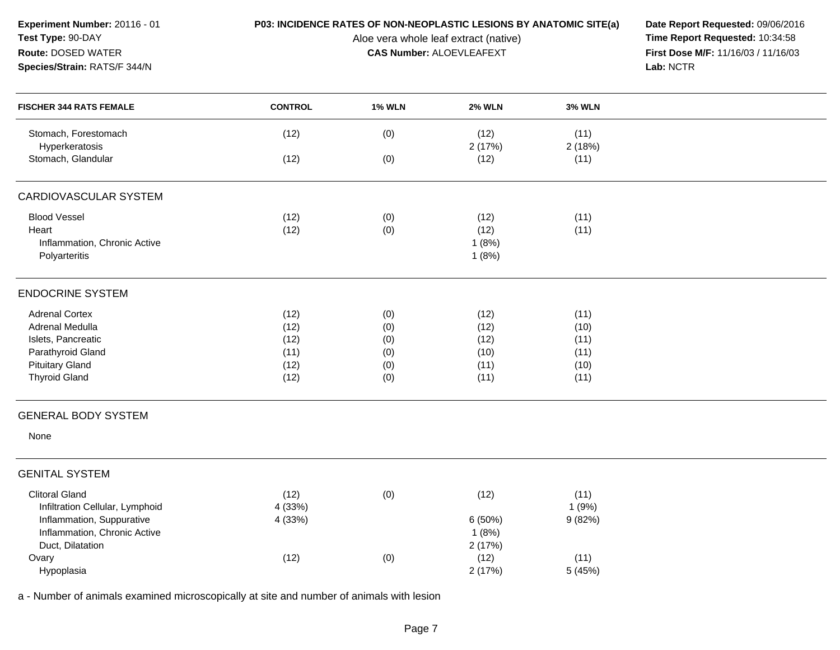| Experiment Number: 20116 - 01<br>Test Type: 90-DAY<br>Route: DOSED WATER<br>Species/Strain: RATS/F 344/N | P03: INCIDENCE RATES OF NON-NEOPLASTIC LESIONS BY ANATOMIC SITE(a) | Date Report Requested: 09/06/2016<br>Time Report Requested: 10:34:58<br>First Dose M/F: 11/16/03 / 11/16/03<br>Lab: NCTR |                |                |  |
|----------------------------------------------------------------------------------------------------------|--------------------------------------------------------------------|--------------------------------------------------------------------------------------------------------------------------|----------------|----------------|--|
| <b>FISCHER 344 RATS FEMALE</b>                                                                           | <b>CONTROL</b>                                                     | <b>1% WLN</b>                                                                                                            | <b>2% WLN</b>  | <b>3% WLN</b>  |  |
| Stomach, Forestomach<br>Hyperkeratosis                                                                   | (12)                                                               | (0)                                                                                                                      | (12)<br>2(17%) | (11)<br>2(18%) |  |
| Stomach, Glandular                                                                                       | (12)                                                               | (0)                                                                                                                      | (12)           | (11)           |  |
| CARDIOVASCULAR SYSTEM                                                                                    |                                                                    |                                                                                                                          |                |                |  |
| <b>Blood Vessel</b>                                                                                      | (12)                                                               | (0)                                                                                                                      | (12)           | (11)           |  |
| Heart                                                                                                    | (12)                                                               | (0)                                                                                                                      | (12)           | (11)           |  |
| Inflammation, Chronic Active                                                                             |                                                                    |                                                                                                                          | 1(8%)          |                |  |
| Polyarteritis                                                                                            |                                                                    |                                                                                                                          | 1(8%)          |                |  |
| <b>ENDOCRINE SYSTEM</b>                                                                                  |                                                                    |                                                                                                                          |                |                |  |
| <b>Adrenal Cortex</b>                                                                                    | (12)                                                               | (0)                                                                                                                      | (12)           | (11)           |  |
| Adrenal Medulla                                                                                          | (12)                                                               | (0)                                                                                                                      | (12)           | (10)           |  |
| Islets, Pancreatic                                                                                       | (12)                                                               | (0)                                                                                                                      | (12)           | (11)           |  |
| Parathyroid Gland                                                                                        | (11)                                                               | (0)                                                                                                                      | (10)           | (11)           |  |
| <b>Pituitary Gland</b>                                                                                   | (12)                                                               | (0)                                                                                                                      | (11)           | (10)           |  |
| <b>Thyroid Gland</b>                                                                                     | (12)                                                               | (0)                                                                                                                      | (11)           | (11)           |  |
| <b>GENERAL BODY SYSTEM</b>                                                                               |                                                                    |                                                                                                                          |                |                |  |
| None                                                                                                     |                                                                    |                                                                                                                          |                |                |  |
| <b>GENITAL SYSTEM</b>                                                                                    |                                                                    |                                                                                                                          |                |                |  |
| <b>Clitoral Gland</b>                                                                                    | (12)                                                               | (0)                                                                                                                      | (12)           | (11)           |  |
| Infiltration Cellular, Lymphoid                                                                          | 4 (33%)                                                            |                                                                                                                          |                | 1(9%)          |  |
| Inflammation, Suppurative                                                                                | 4 (33%)                                                            |                                                                                                                          | 6(50%)         | 9(82%)         |  |
| Inflammation, Chronic Active                                                                             |                                                                    |                                                                                                                          | 1(8%)          |                |  |
| Duct, Dilatation                                                                                         |                                                                    |                                                                                                                          | 2(17%)         |                |  |
| Ovary                                                                                                    | (12)                                                               | (0)                                                                                                                      | (12)           | (11)           |  |
| Hypoplasia                                                                                               |                                                                    |                                                                                                                          | 2(17%)         | 5 (45%)        |  |
| a - Number of animals examined microscopically at site and number of animals with lesion                 |                                                                    |                                                                                                                          |                |                |  |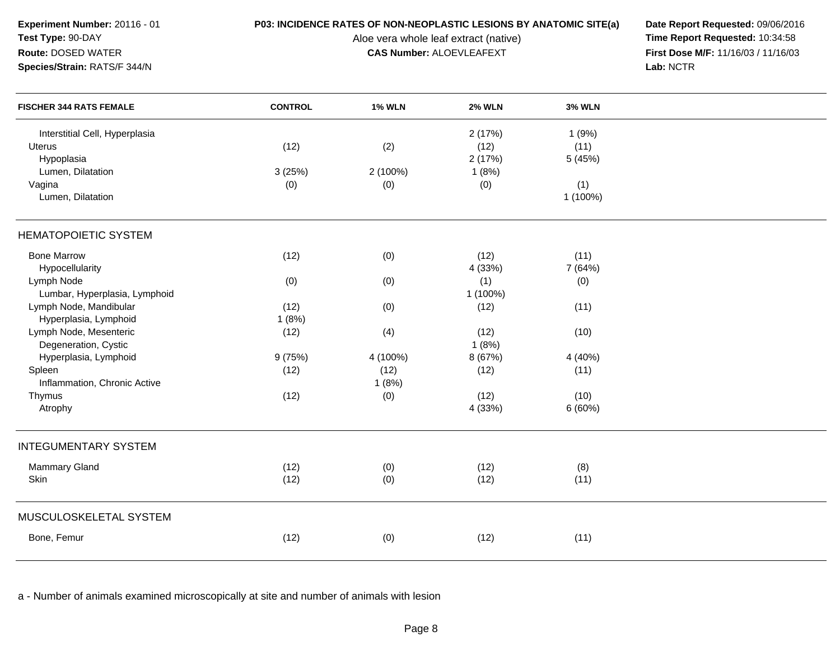| Experiment Number: 20116 - 01<br>Test Type: 90-DAY<br>Route: DOSED WATER<br>Species/Strain: RATS/F 344/N | P03: INCIDENCE RATES OF NON-NEOPLASTIC LESIONS BY ANATOMIC SITE(a) | Date Report Requested: 09/06/2016<br>Time Report Requested: 10:34:58<br>First Dose M/F: 11/16/03 / 11/16/03<br>Lab: NCTR |               |                 |  |
|----------------------------------------------------------------------------------------------------------|--------------------------------------------------------------------|--------------------------------------------------------------------------------------------------------------------------|---------------|-----------------|--|
| <b>FISCHER 344 RATS FEMALE</b>                                                                           | <b>CONTROL</b>                                                     | <b>1% WLN</b>                                                                                                            | <b>2% WLN</b> | <b>3% WLN</b>   |  |
| Interstitial Cell, Hyperplasia                                                                           |                                                                    |                                                                                                                          | 2(17%)        | 1(9%)           |  |
| <b>Uterus</b>                                                                                            | (12)                                                               | (2)                                                                                                                      | (12)          | (11)            |  |
| Hypoplasia                                                                                               |                                                                    |                                                                                                                          | 2(17%)        | 5 (45%)         |  |
| Lumen, Dilatation                                                                                        | 3(25%)                                                             | 2 (100%)                                                                                                                 | 1(8%)         |                 |  |
| Vagina<br>Lumen, Dilatation                                                                              | (0)                                                                | (0)                                                                                                                      | (0)           | (1)<br>1 (100%) |  |
| <b>HEMATOPOIETIC SYSTEM</b>                                                                              |                                                                    |                                                                                                                          |               |                 |  |
| <b>Bone Marrow</b>                                                                                       | (12)                                                               | (0)                                                                                                                      | (12)          | (11)            |  |
| Hypocellularity                                                                                          |                                                                    |                                                                                                                          | 4 (33%)       | 7 (64%)         |  |
| Lymph Node                                                                                               | (0)                                                                | (0)                                                                                                                      | (1)           | (0)             |  |
| Lumbar, Hyperplasia, Lymphoid                                                                            |                                                                    |                                                                                                                          | 1 (100%)      |                 |  |
| Lymph Node, Mandibular                                                                                   | (12)                                                               | (0)                                                                                                                      | (12)          | (11)            |  |
| Hyperplasia, Lymphoid                                                                                    | 1(8%)                                                              |                                                                                                                          |               |                 |  |
| Lymph Node, Mesenteric                                                                                   | (12)                                                               | (4)                                                                                                                      | (12)          | (10)            |  |
| Degeneration, Cystic                                                                                     |                                                                    |                                                                                                                          | 1(8%)         |                 |  |
| Hyperplasia, Lymphoid                                                                                    | 9(75%)                                                             | 4 (100%)                                                                                                                 | 8 (67%)       | 4 (40%)         |  |
| Spleen                                                                                                   | (12)                                                               | (12)                                                                                                                     | (12)          | (11)            |  |
| Inflammation, Chronic Active                                                                             |                                                                    | 1(8%)                                                                                                                    |               |                 |  |
| Thymus                                                                                                   | (12)                                                               | (0)                                                                                                                      | (12)          | (10)            |  |
| Atrophy                                                                                                  |                                                                    |                                                                                                                          | 4 (33%)       | 6(60%)          |  |
| <b>INTEGUMENTARY SYSTEM</b>                                                                              |                                                                    |                                                                                                                          |               |                 |  |
| <b>Mammary Gland</b>                                                                                     | (12)                                                               | (0)                                                                                                                      | (12)          | (8)             |  |
| Skin                                                                                                     | (12)                                                               | (0)                                                                                                                      | (12)          | (11)            |  |
| MUSCULOSKELETAL SYSTEM                                                                                   |                                                                    |                                                                                                                          |               |                 |  |
| Bone, Femur                                                                                              | (12)                                                               | (0)                                                                                                                      | (12)          | (11)            |  |